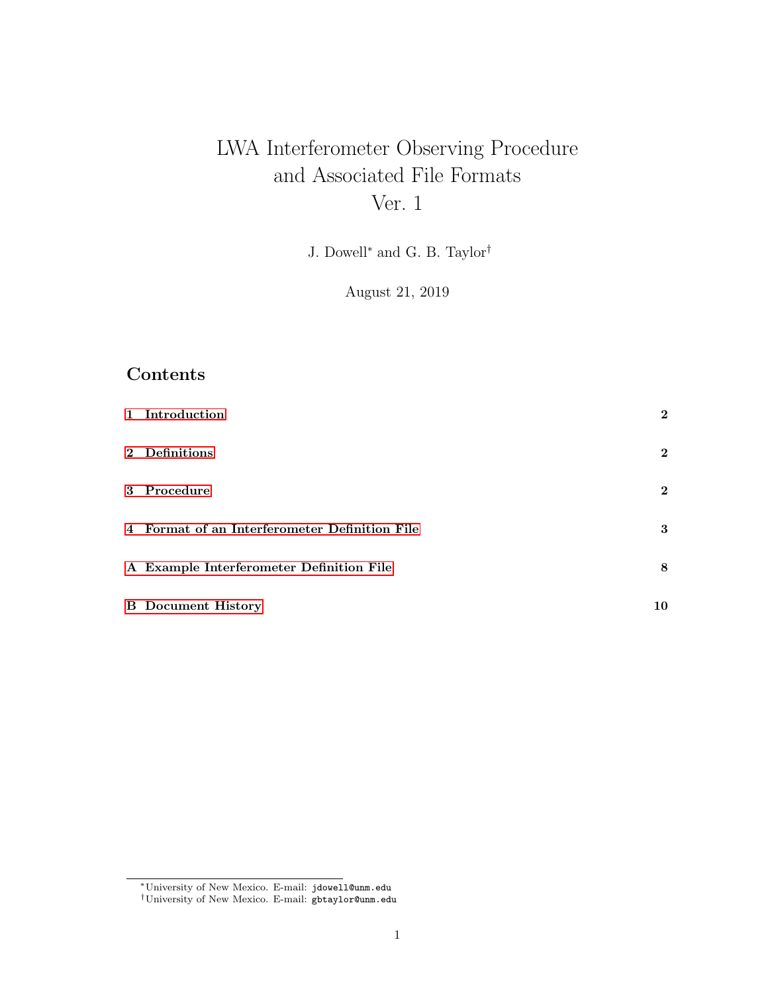# LWA Interferometer Observing Procedure and Associated File Formats Ver. 1

J. Dowell<sup>∗</sup> and G. B. Taylor†

August 21, 2019

### Contents

| 1 Introduction                                | $\mathbf{2}$ |
|-----------------------------------------------|--------------|
| 2 Definitions                                 | $\mathbf{2}$ |
| 3 Procedure                                   | $\mathbf{2}$ |
| 4 Format of an Interferometer Definition File | 3            |
| A Example Interferometer Definition File      | 8            |
| <b>B</b> Document History                     | 10           |

<sup>∗</sup>University of New Mexico. E-mail: jdowell@unm.edu

<sup>†</sup>University of New Mexico. E-mail: gbtaylor@unm.edu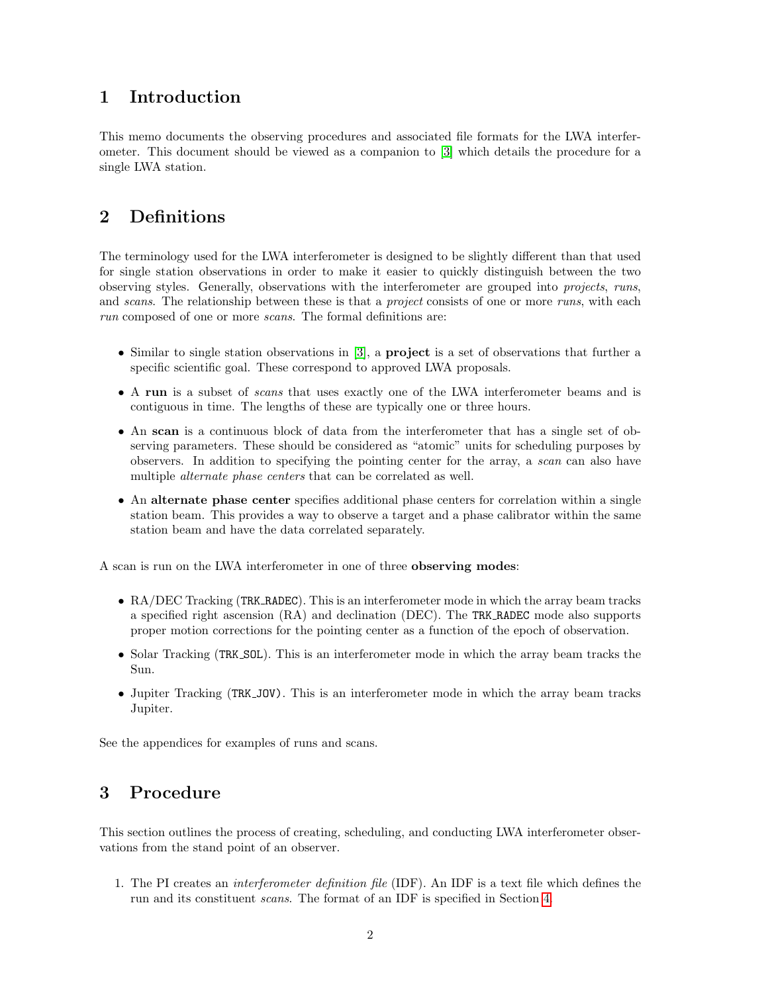#### <span id="page-1-0"></span>1 Introduction

This memo documents the observing procedures and associated file formats for the LWA interferometer. This document should be viewed as a companion to [\[3\]](#page-10-0) which details the procedure for a single LWA station.

#### <span id="page-1-1"></span>2 Definitions

The terminology used for the LWA interferometer is designed to be slightly different than that used for single station observations in order to make it easier to quickly distinguish between the two observing styles. Generally, observations with the interferometer are grouped into projects, runs, and scans. The relationship between these is that a *project* consists of one or more runs, with each run composed of one or more *scans*. The formal definitions are:

- Similar to single station observations in [\[3\]](#page-10-0), a project is a set of observations that further a specific scientific goal. These correspond to approved LWA proposals.
- A run is a subset of scans that uses exactly one of the LWA interferometer beams and is contiguous in time. The lengths of these are typically one or three hours.
- An scan is a continuous block of data from the interferometer that has a single set of observing parameters. These should be considered as "atomic" units for scheduling purposes by observers. In addition to specifying the pointing center for the array, a scan can also have multiple *alternate* phase centers that can be correlated as well.
- An alternate phase center specifies additional phase centers for correlation within a single station beam. This provides a way to observe a target and a phase calibrator within the same station beam and have the data correlated separately.

A scan is run on the LWA interferometer in one of three observing modes:

- RA/DEC Tracking (TRK RADEC). This is an interferometer mode in which the array beam tracks a specified right ascension (RA) and declination (DEC). The TRK RADEC mode also supports proper motion corrections for the pointing center as a function of the epoch of observation.
- Solar Tracking (TRK\_SOL). This is an interferometer mode in which the array beam tracks the Sun.
- Jupiter Tracking (TRK\_JOV). This is an interferometer mode in which the array beam tracks Jupiter.

See the appendices for examples of runs and scans.

#### <span id="page-1-2"></span>3 Procedure

This section outlines the process of creating, scheduling, and conducting LWA interferometer observations from the stand point of an observer.

1. The PI creates an interferometer definition file (IDF). An IDF is a text file which defines the run and its constituent scans. The format of an IDF is specified in Section [4.](#page-2-0)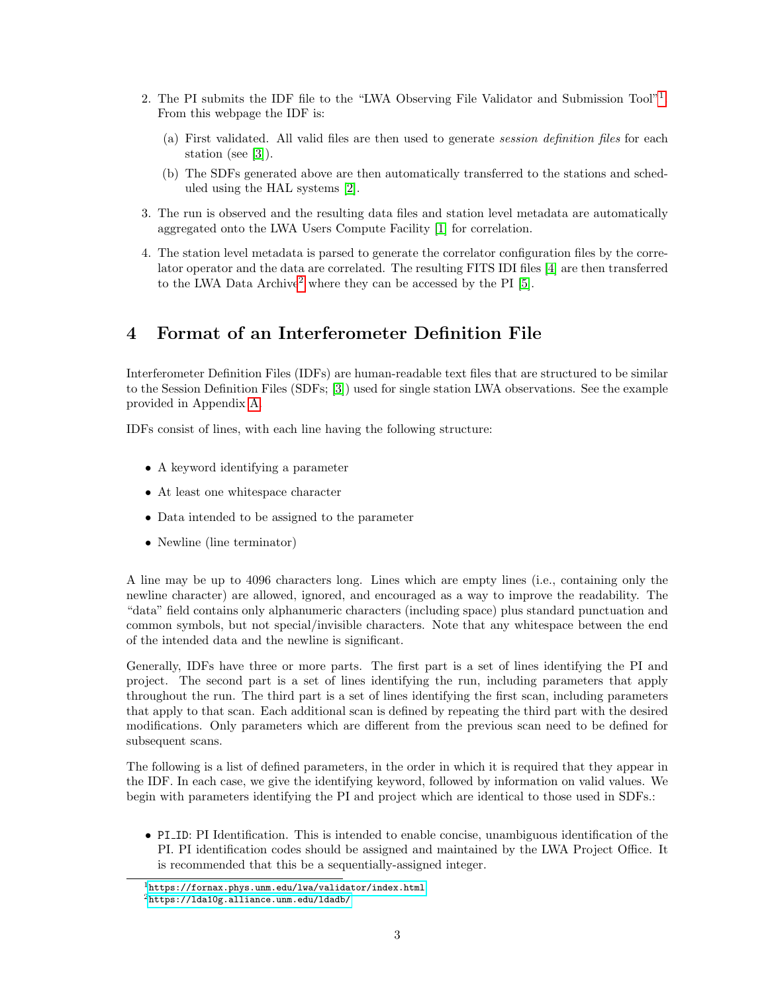- 2. The PI submits the IDF file to the "LWA Observing File Validator and Submission Tool"<sup>[1](#page-2-1)</sup>. From this webpage the IDF is:
	- (a) First validated. All valid files are then used to generate session definition files for each station (see [\[3\]](#page-10-0)).
	- (b) The SDFs generated above are then automatically transferred to the stations and scheduled using the HAL systems [\[2\]](#page-10-1).
- 3. The run is observed and the resulting data files and station level metadata are automatically aggregated onto the LWA Users Compute Facility [\[1\]](#page-10-2) for correlation.
- 4. The station level metadata is parsed to generate the correlator configuration files by the correlator operator and the data are correlated. The resulting FITS IDI files [\[4\]](#page-10-3) are then transferred to the LWA Data Archive<sup>[2](#page-2-2)</sup> where they can be accessed by the PI [\[5\]](#page-10-4).

#### <span id="page-2-0"></span>4 Format of an Interferometer Definition File

Interferometer Definition Files (IDFs) are human-readable text files that are structured to be similar to the Session Definition Files (SDFs; [\[3\]](#page-10-0)) used for single station LWA observations. See the example provided in Appendix [A.](#page-7-0)

IDFs consist of lines, with each line having the following structure:

- A keyword identifying a parameter
- At least one whitespace character
- Data intended to be assigned to the parameter
- Newline (line terminator)

A line may be up to 4096 characters long. Lines which are empty lines (i.e., containing only the newline character) are allowed, ignored, and encouraged as a way to improve the readability. The "data" field contains only alphanumeric characters (including space) plus standard punctuation and common symbols, but not special/invisible characters. Note that any whitespace between the end of the intended data and the newline is significant.

Generally, IDFs have three or more parts. The first part is a set of lines identifying the PI and project. The second part is a set of lines identifying the run, including parameters that apply throughout the run. The third part is a set of lines identifying the first scan, including parameters that apply to that scan. Each additional scan is defined by repeating the third part with the desired modifications. Only parameters which are different from the previous scan need to be defined for subsequent scans.

The following is a list of defined parameters, in the order in which it is required that they appear in the IDF. In each case, we give the identifying keyword, followed by information on valid values. We begin with parameters identifying the PI and project which are identical to those used in SDFs.:

• PI ID: PI Identification. This is intended to enable concise, unambiguous identification of the PI. PI identification codes should be assigned and maintained by the LWA Project Office. It is recommended that this be a sequentially-assigned integer.

<span id="page-2-1"></span> $1$ <https://fornax.phys.unm.edu/lwa/validator/index.html>

<span id="page-2-2"></span><sup>2</sup><https://lda10g.alliance.unm.edu/ldadb/>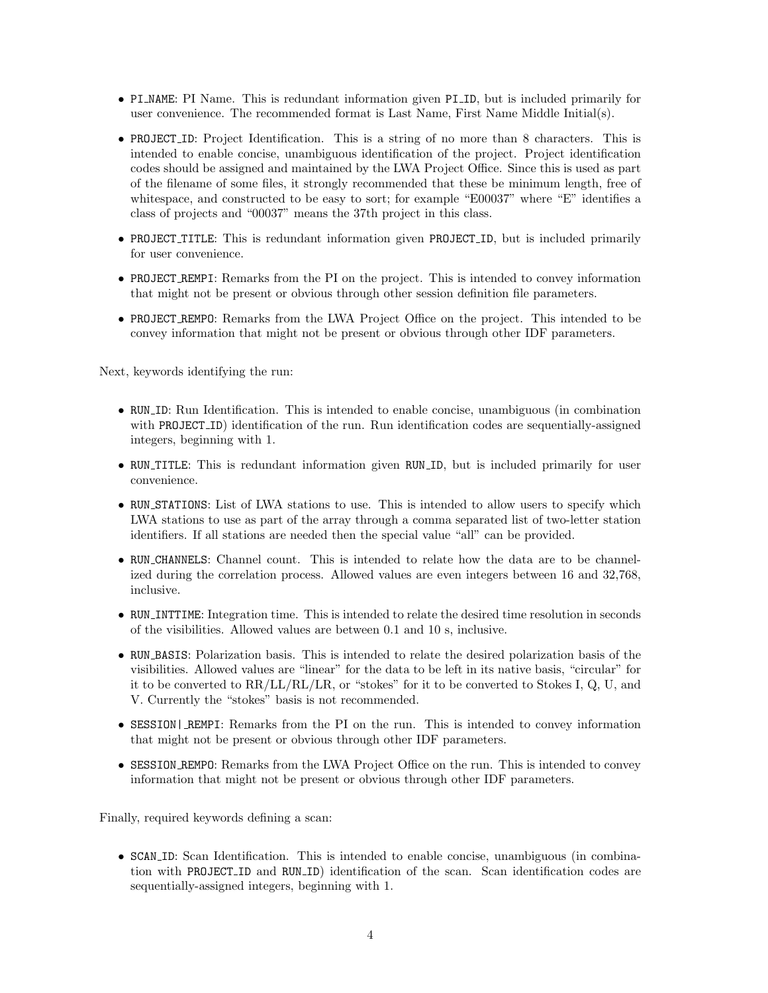- PI NAME: PI Name. This is redundant information given PI ID, but is included primarily for user convenience. The recommended format is Last Name, First Name Middle Initial(s).
- PROJECT ID: Project Identification. This is a string of no more than 8 characters. This is intended to enable concise, unambiguous identification of the project. Project identification codes should be assigned and maintained by the LWA Project Office. Since this is used as part of the filename of some files, it strongly recommended that these be minimum length, free of whitespace, and constructed to be easy to sort; for example "E00037" where "E" identifies a class of projects and "00037" means the 37th project in this class.
- PROJECT\_TITLE: This is redundant information given PROJECT\_ID, but is included primarily for user convenience.
- PROJECT REMPI: Remarks from the PI on the project. This is intended to convey information that might not be present or obvious through other session definition file parameters.
- PROJECT REMPO: Remarks from the LWA Project Office on the project. This intended to be convey information that might not be present or obvious through other IDF parameters.

Next, keywords identifying the run:

- RUN ID: Run Identification. This is intended to enable concise, unambiguous (in combination with PROJECT<sub>-</sub>ID) identification of the run. Run identification codes are sequentially-assigned integers, beginning with 1.
- RUN TITLE: This is redundant information given RUN ID, but is included primarily for user convenience.
- RUN\_STATIONS: List of LWA stations to use. This is intended to allow users to specify which LWA stations to use as part of the array through a comma separated list of two-letter station identifiers. If all stations are needed then the special value "all" can be provided.
- RUN\_CHANNELS: Channel count. This is intended to relate how the data are to be channelized during the correlation process. Allowed values are even integers between 16 and 32,768, inclusive.
- RUN INTTIME: Integration time. This is intended to relate the desired time resolution in seconds of the visibilities. Allowed values are between 0.1 and 10 s, inclusive.
- RUN BASIS: Polarization basis. This is intended to relate the desired polarization basis of the visibilities. Allowed values are "linear" for the data to be left in its native basis, "circular" for it to be converted to  $RR/LL/RL/LR$ , or "stokes" for it to be converted to Stokes I, Q, U, and V. Currently the "stokes" basis is not recommended.
- SESSION| REMPI: Remarks from the PI on the run. This is intended to convey information that might not be present or obvious through other IDF parameters.
- SESSION REMPO: Remarks from the LWA Project Office on the run. This is intended to convey information that might not be present or obvious through other IDF parameters.

Finally, required keywords defining a scan:

• SCAN ID: Scan Identification. This is intended to enable concise, unambiguous (in combination with PROJECT ID and RUN ID) identification of the scan. Scan identification codes are sequentially-assigned integers, beginning with 1.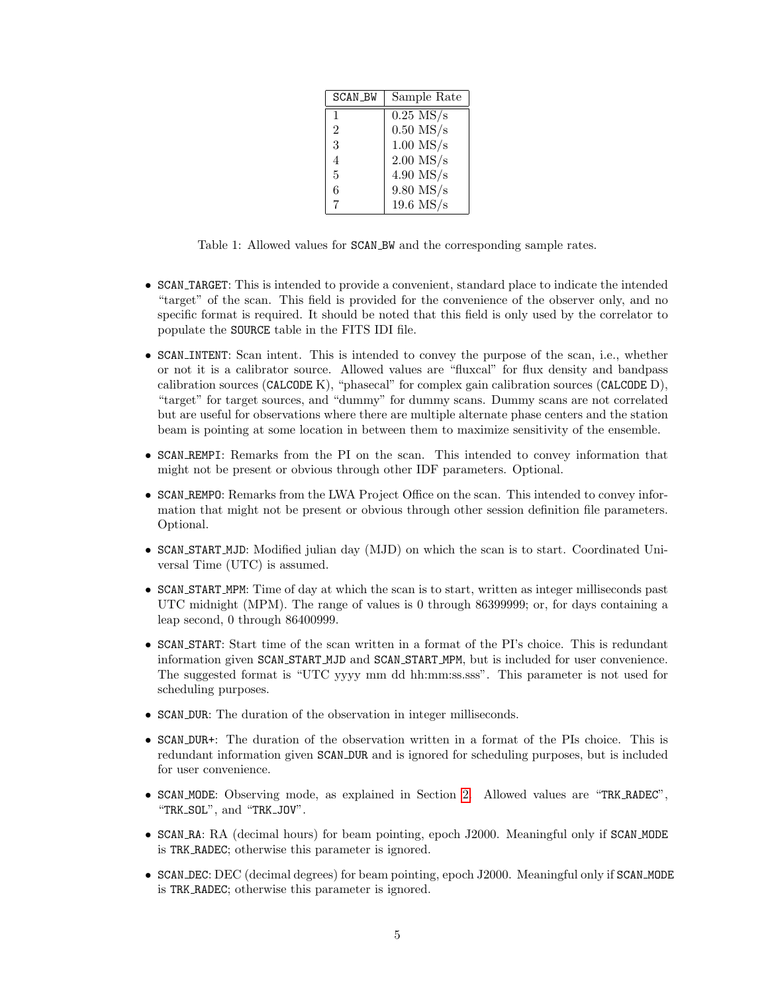| SCAN_BW        | Sample Rate |
|----------------|-------------|
| 1              | $0.25$ MS/s |
| $\overline{2}$ | $0.50$ MS/s |
| 3              | $1.00$ MS/s |
| 4              | $2.00$ MS/s |
| 5              | $4.90$ MS/s |
| 6              | $9.80$ MS/s |
|                | $19.6$ MS/s |

<span id="page-4-0"></span>Table 1: Allowed values for SCAN BW and the corresponding sample rates.

- SCAN TARGET: This is intended to provide a convenient, standard place to indicate the intended "target" of the scan. This field is provided for the convenience of the observer only, and no specific format is required. It should be noted that this field is only used by the correlator to populate the SOURCE table in the FITS IDI file.
- SCAN\_INTENT: Scan intent. This is intended to convey the purpose of the scan, i.e., whether or not it is a calibrator source. Allowed values are "fluxcal" for flux density and bandpass calibration sources (CALCODE K), "phasecal" for complex gain calibration sources (CALCODE D), "target" for target sources, and "dummy" for dummy scans. Dummy scans are not correlated but are useful for observations where there are multiple alternate phase centers and the station beam is pointing at some location in between them to maximize sensitivity of the ensemble.
- SCAN REMPI: Remarks from the PI on the scan. This intended to convey information that might not be present or obvious through other IDF parameters. Optional.
- SCAN REMPO: Remarks from the LWA Project Office on the scan. This intended to convey information that might not be present or obvious through other session definition file parameters. Optional.
- SCAN START MJD: Modified julian day (MJD) on which the scan is to start. Coordinated Universal Time (UTC) is assumed.
- SCAN START MPM: Time of day at which the scan is to start, written as integer milliseconds past UTC midnight (MPM). The range of values is 0 through 86399999; or, for days containing a leap second, 0 through 86400999.
- SCAN START: Start time of the scan written in a format of the PI's choice. This is redundant information given SCAN START MJD and SCAN START MPM, but is included for user convenience. The suggested format is "UTC yyyy mm dd hh:mm:ss.sss". This parameter is not used for scheduling purposes.
- SCAN DUR: The duration of the observation in integer milliseconds.
- SCAN DUR+: The duration of the observation written in a format of the PIs choice. This is redundant information given SCAN DUR and is ignored for scheduling purposes, but is included for user convenience.
- SCAN MODE: Observing mode, as explained in Section [2.](#page-1-1) Allowed values are "TRK RADEC", "TRK SOL", and "TRK JOV".
- SCAN RA: RA (decimal hours) for beam pointing, epoch J2000. Meaningful only if SCAN MODE is TRK RADEC; otherwise this parameter is ignored.
- SCAN DEC: DEC (decimal degrees) for beam pointing, epoch J2000. Meaningful only if SCAN MODE is TRK RADEC; otherwise this parameter is ignored.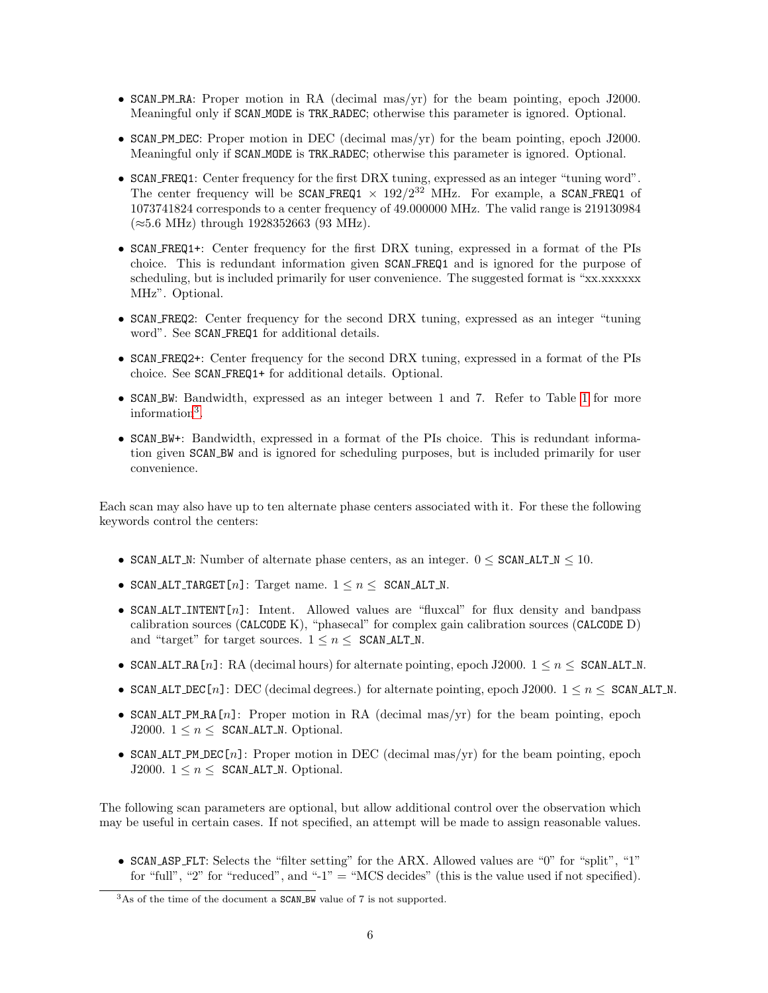- SCAN PM RA: Proper motion in RA (decimal mas/yr) for the beam pointing, epoch J2000. Meaningful only if SCAN MODE is TRK RADEC; otherwise this parameter is ignored. Optional.
- SCAN PM DEC: Proper motion in DEC (decimal mas/yr) for the beam pointing, epoch J2000. Meaningful only if SCAN MODE is TRK RADEC; otherwise this parameter is ignored. Optional.
- SCAN FREQ1: Center frequency for the first DRX tuning, expressed as an integer "tuning word". The center frequency will be SCAN\_FREQ1  $\times$  192/2<sup>32</sup> MHz. For example, a SCAN\_FREQ1 of 1073741824 corresponds to a center frequency of 49.000000 MHz. The valid range is 219130984  $(\approx 5.6 \text{ MHz})$  through 1928352663 (93 MHz).
- SCAN FREQ1+: Center frequency for the first DRX tuning, expressed in a format of the PIs choice. This is redundant information given SCAN FREQ1 and is ignored for the purpose of scheduling, but is included primarily for user convenience. The suggested format is "xx.xxxxxx MHz". Optional.
- SCAN FREQ2: Center frequency for the second DRX tuning, expressed as an integer "tuning word". See SCAN FREQ1 for additional details.
- SCAN FREQ2+: Center frequency for the second DRX tuning, expressed in a format of the PIs choice. See SCAN FREQ1+ for additional details. Optional.
- SCAN BW: Bandwidth, expressed as an integer between 1 and 7. Refer to Table [1](#page-4-0) for more information<sup>[3](#page-5-0)</sup>.
- SCAN BW+: Bandwidth, expressed in a format of the PIs choice. This is redundant information given SCAN BW and is ignored for scheduling purposes, but is included primarily for user convenience.

Each scan may also have up to ten alternate phase centers associated with it. For these the following keywords control the centers:

- SCAN ALT N: Number of alternate phase centers, as an integer.  $0 \leq$  SCAN ALT  $N \leq 10$ .
- SCAN ALT\_TARGET[n]: Target name.  $1 \le n \le$  SCAN ALT\_N.
- SCAN\_ALT\_INTENT[n]: Intent. Allowed values are "fluxcal" for flux density and bandpass calibration sources (CALCODE K), "phasecal" for complex gain calibration sources (CALCODE D) and "target" for target sources.  $1 \leq n \leq \texttt{SCAN}$ -ALT\_N.
- SCAN ALT RA[n]: RA (decimal hours) for alternate pointing, epoch J2000.  $1 \leq n \leq$  SCAN ALT N.
- SCAN ALT DEC [n]: DEC (decimal degrees.) for alternate pointing, epoch J2000.  $1 \le n \le$  SCAN ALT N.
- SCAN\_ALT\_PM\_RA $[n]$ : Proper motion in RA (decimal mas/yr) for the beam pointing, epoch J2000.  $1 \leq n \leq \texttt{SCAN\_ALT\_N}$ . Optional.
- SCAN ALT PM DEC [n]: Proper motion in DEC (decimal mas/yr) for the beam pointing, epoch J2000.  $1 \leq n \leq \texttt{SCAN\_ALT\_N}$ . Optional.

The following scan parameters are optional, but allow additional control over the observation which may be useful in certain cases. If not specified, an attempt will be made to assign reasonable values.

• SCAN ASP FLT: Selects the "filter setting" for the ARX. Allowed values are "0" for "split", "1" for "full", "2" for "reduced", and "-1" = "MCS decides" (this is the value used if not specified).

<span id="page-5-0"></span> $3$ As of the time of the document a SCAN BW value of 7 is not supported.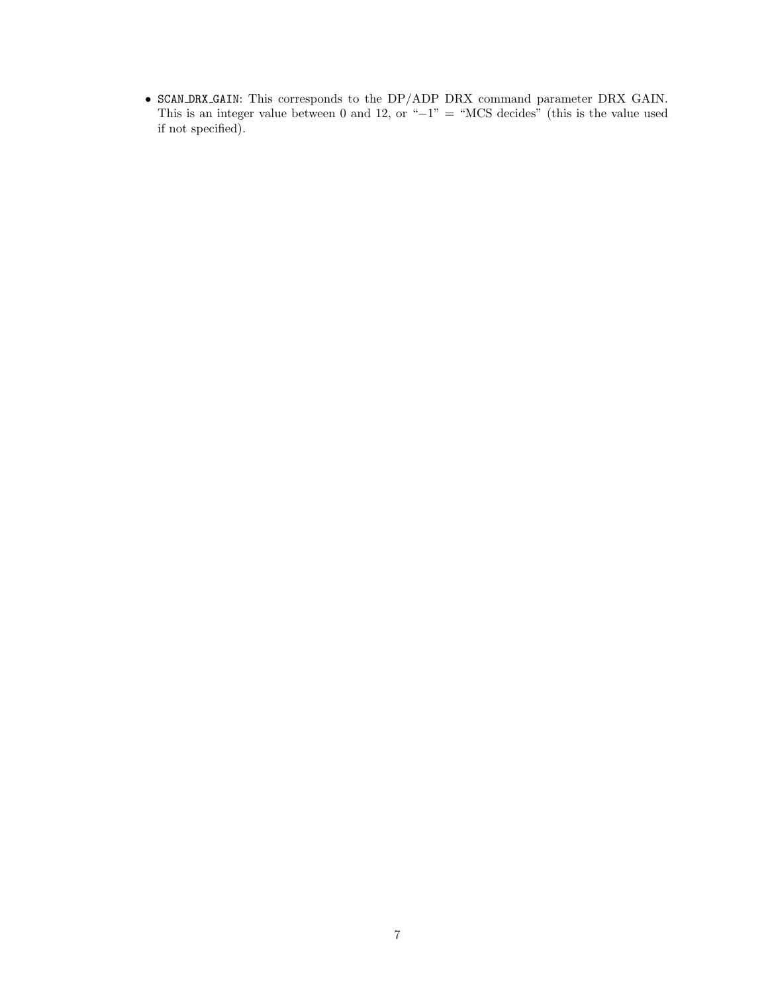• SCAN DRX GAIN: This corresponds to the DP/ADP DRX command parameter DRX GAIN. This is an integer value between 0 and 12, or " $-1$ " = "MCS decides" (this is the value used if not specified).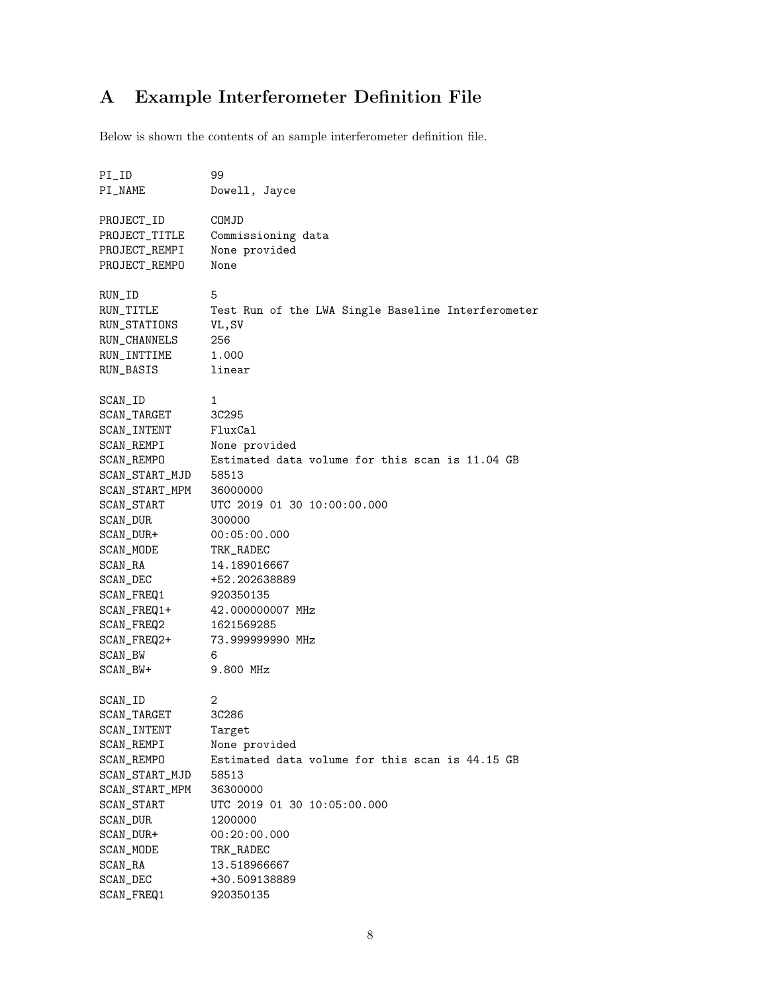## <span id="page-7-0"></span>A Example Interferometer Definition File

Below is shown the contents of an sample interferometer definition file.

| $PI$ <sub>-ID</sub> | 99                                                 |
|---------------------|----------------------------------------------------|
| PI_NAME             | Dowell, Jayce                                      |
|                     |                                                    |
| PROJECT_ID          | COMJD                                              |
| PROJECT_TITLE       | Commissioning data                                 |
| PROJECT_REMPI       | None provided                                      |
| PROJECT_REMPO       | None                                               |
|                     |                                                    |
| RUN_ID              | 5                                                  |
| RUN_TITLE           | Test Run of the LWA Single Baseline Interferometer |
| RUN_STATIONS        | VL, SV                                             |
| RUN_CHANNELS        | 256                                                |
| RUN_INTTIME         | 1.000                                              |
| RUN_BASIS           | linear                                             |
|                     |                                                    |
| SCAN_ID             | 1                                                  |
| SCAN_TARGET         | 3C295                                              |
| SCAN_INTENT         | FluxCal                                            |
| SCAN_REMPI          | None provided                                      |
| SCAN_REMPO          | Estimated data volume for this scan is 11.04 GB    |
| SCAN_START_MJD      | 58513                                              |
| SCAN_START_MPM      | 36000000                                           |
| SCAN_START          | UTC 2019 01 30 10:00:00.000                        |
| SCAN_DUR            | 300000                                             |
| SCAN_DUR+           | 00:05:00.000                                       |
| SCAN_MODE           | TRK_RADEC                                          |
| SCAN_RA             | 14.189016667                                       |
| SCAN_DEC            | +52.202638889                                      |
| SCAN_FREQ1          | 920350135                                          |
| SCAN_FREQ1+         | 42.000000007 MHz                                   |
| SCAN_FREQ2          | 1621569285                                         |
| SCAN_FREQ2+         | 73.999999990 MHz                                   |
| SCAN_BW             | 6                                                  |
| SCAN_BW+            | 9.800 MHz                                          |
| SCAN_ID             | 2                                                  |
| SCAN_TARGET         | 3C286                                              |
| SCAN_INTENT         | Target                                             |
| SCAN_REMPI          | None provided                                      |
| SCAN_REMPO          | Estimated data volume for this scan is 44.15 GB    |
| SCAN_START_MJD      | 58513                                              |
| SCAN_START_MPM      | 36300000                                           |
| SCAN_START          | UTC 2019 01 30 10:05:00.000                        |
| SCAN_DUR            | 1200000                                            |
| SCAN_DUR+           | 00:20:00.000                                       |
| SCAN_MODE           | TRK_RADEC                                          |
| SCAN_RA             | 13.518966667                                       |
| SCAN_DEC            | +30.509138889                                      |
| SCAN_FREQ1          | 920350135                                          |
|                     |                                                    |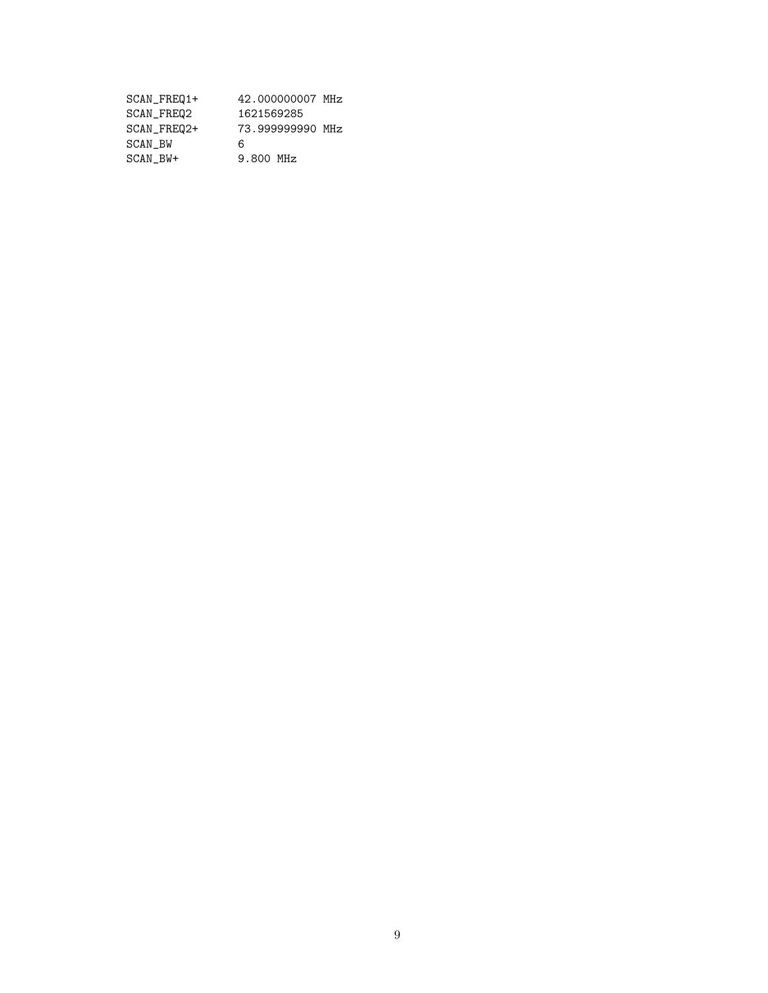| SCAN_FREQ1+ | 42.000000007 MHz |
|-------------|------------------|
| SCAN_FREQ2  | 1621569285       |
| SCAN FREQ2+ | 73.999999990 MHz |
| SCAN BW     | 6                |
| SCAN BW+    | 9.800 MHz        |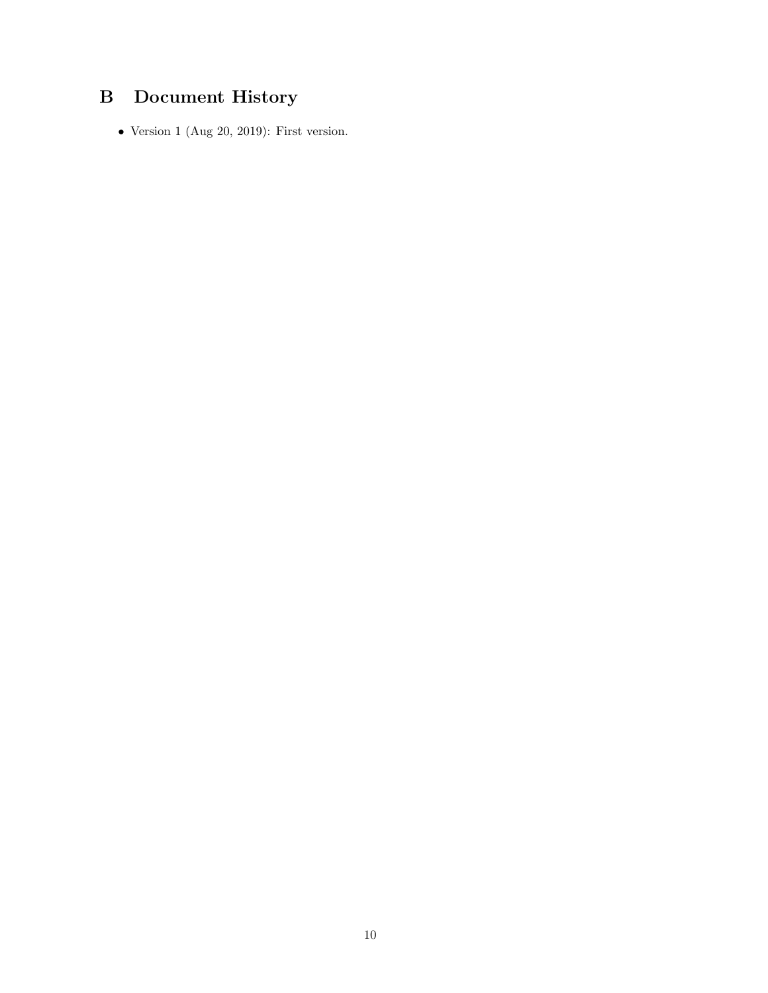### <span id="page-9-0"></span>B Document History

• Version 1 (Aug 20, 2019): First version.